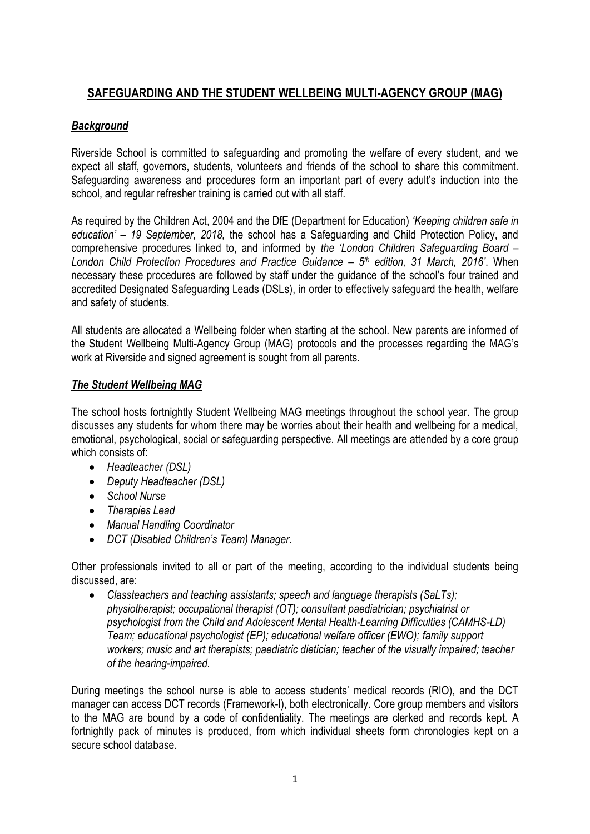### **SAFEGUARDING AND THE STUDENT WELLBEING MULTI-AGENCY GROUP (MAG)**

### *Background*

Riverside School is committed to safeguarding and promoting the welfare of every student, and we expect all staff, governors, students, volunteers and friends of the school to share this commitment. Safeguarding awareness and procedures form an important part of every adult's induction into the school, and regular refresher training is carried out with all staff.

As required by the Children Act, 2004 and the DfE (Department for Education) *'Keeping children safe in education' – 19 September, 2018,* the school has a Safeguarding and Child Protection Policy, and comprehensive procedures linked to, and informed by *the 'London Children Safeguarding Board – London Child Protection Procedures and Practice Guidance – 5 th edition, 31 March, 2016'*. When necessary these procedures are followed by staff under the guidance of the school's four trained and accredited Designated Safeguarding Leads (DSLs), in order to effectively safeguard the health, welfare and safety of students.

All students are allocated a Wellbeing folder when starting at the school. New parents are informed of the Student Wellbeing Multi-Agency Group (MAG) protocols and the processes regarding the MAG's work at Riverside and signed agreement is sought from all parents.

### *The Student Wellbeing MAG*

The school hosts fortnightly Student Wellbeing MAG meetings throughout the school year. The group discusses any students for whom there may be worries about their health and wellbeing for a medical, emotional, psychological, social or safeguarding perspective. All meetings are attended by a core group which consists of:

- *Headteacher (DSL)*
- *Deputy Headteacher (DSL)*
- *School Nurse*
- *Therapies Lead*
- *Manual Handling Coordinator*
- *DCT (Disabled Children's Team) Manager.*

Other professionals invited to all or part of the meeting, according to the individual students being discussed, are:

 *Classteachers and teaching assistants; speech and language therapists (SaLTs); physiotherapist; occupational therapist (OT); consultant paediatrician; psychiatrist or psychologist from the Child and Adolescent Mental Health-Learning Difficulties (CAMHS-LD) Team; educational psychologist (EP); educational welfare officer (EWO); family support workers; music and art therapists; paediatric dietician; teacher of the visually impaired; teacher of the hearing-impaired.*

During meetings the school nurse is able to access students' medical records (RIO), and the DCT manager can access DCT records (Framework-I), both electronically. Core group members and visitors to the MAG are bound by a code of confidentiality. The meetings are clerked and records kept. A fortnightly pack of minutes is produced, from which individual sheets form chronologies kept on a secure school database.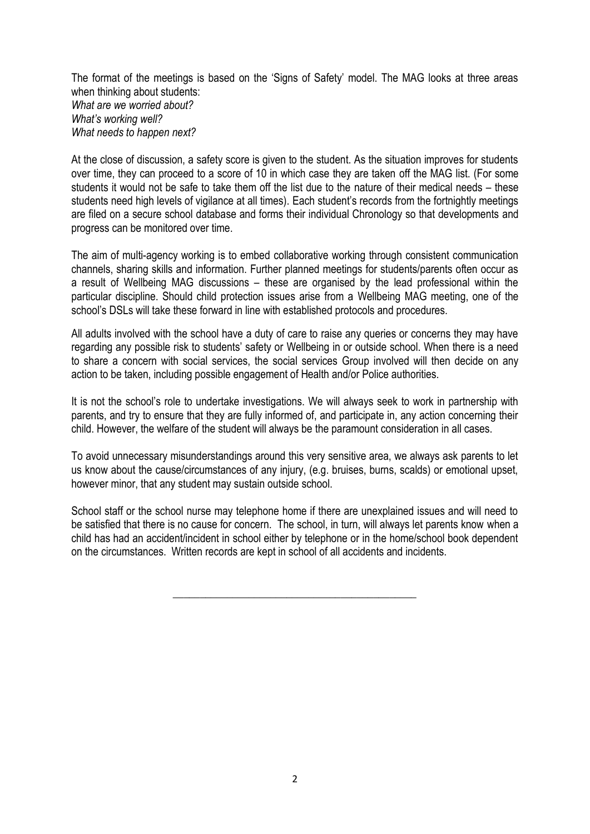The format of the meetings is based on the 'Signs of Safety' model. The MAG looks at three areas when thinking about students: *What are we worried about? What's working well? What needs to happen next?*

At the close of discussion, a safety score is given to the student. As the situation improves for students over time, they can proceed to a score of 10 in which case they are taken off the MAG list. (For some students it would not be safe to take them off the list due to the nature of their medical needs – these students need high levels of vigilance at all times). Each student's records from the fortnightly meetings are filed on a secure school database and forms their individual Chronology so that developments and progress can be monitored over time.

The aim of multi-agency working is to embed collaborative working through consistent communication channels, sharing skills and information. Further planned meetings for students/parents often occur as a result of Wellbeing MAG discussions – these are organised by the lead professional within the particular discipline. Should child protection issues arise from a Wellbeing MAG meeting, one of the school's DSLs will take these forward in line with established protocols and procedures.

All adults involved with the school have a duty of care to raise any queries or concerns they may have regarding any possible risk to students' safety or Wellbeing in or outside school. When there is a need to share a concern with social services, the social services Group involved will then decide on any action to be taken, including possible engagement of Health and/or Police authorities.

It is not the school's role to undertake investigations. We will always seek to work in partnership with parents, and try to ensure that they are fully informed of, and participate in, any action concerning their child. However, the welfare of the student will always be the paramount consideration in all cases.

To avoid unnecessary misunderstandings around this very sensitive area, we always ask parents to let us know about the cause/circumstances of any injury, (e.g. bruises, burns, scalds) or emotional upset, however minor, that any student may sustain outside school.

School staff or the school nurse may telephone home if there are unexplained issues and will need to be satisfied that there is no cause for concern. The school, in turn, will always let parents know when a child has had an accident/incident in school either by telephone or in the home/school book dependent on the circumstances. Written records are kept in school of all accidents and incidents.

\_\_\_\_\_\_\_\_\_\_\_\_\_\_\_\_\_\_\_\_\_\_\_\_\_\_\_\_\_\_\_\_\_\_\_\_\_\_\_\_\_\_\_\_\_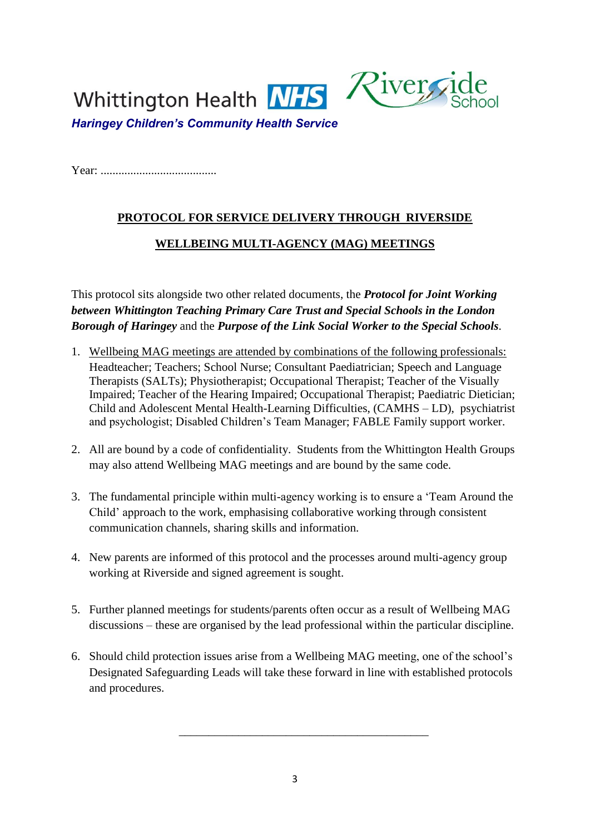

Year: .......................................

# **PROTOCOL FOR SERVICE DELIVERY THROUGH RIVERSIDE WELLBEING MULTI-AGENCY (MAG) MEETINGS**

This protocol sits alongside two other related documents, the *Protocol for Joint Working between Whittington Teaching Primary Care Trust and Special Schools in the London Borough of Haringey* and the *Purpose of the Link Social Worker to the Special Schools.*

- 1. Wellbeing MAG meetings are attended by combinations of the following professionals: Headteacher; Teachers; School Nurse; Consultant Paediatrician; Speech and Language Therapists (SALTs); Physiotherapist; Occupational Therapist; Teacher of the Visually Impaired; Teacher of the Hearing Impaired; Occupational Therapist; Paediatric Dietician; Child and Adolescent Mental Health-Learning Difficulties, (CAMHS – LD), psychiatrist and psychologist; Disabled Children's Team Manager; FABLE Family support worker.
- 2. All are bound by a code of confidentiality. Students from the Whittington Health Groups may also attend Wellbeing MAG meetings and are bound by the same code.
- 3. The fundamental principle within multi-agency working is to ensure a 'Team Around the Child' approach to the work, emphasising collaborative working through consistent communication channels, sharing skills and information.
- 4. New parents are informed of this protocol and the processes around multi-agency group working at Riverside and signed agreement is sought.
- 5. Further planned meetings for students/parents often occur as a result of Wellbeing MAG discussions – these are organised by the lead professional within the particular discipline.
- 6. Should child protection issues arise from a Wellbeing MAG meeting, one of the school's Designated Safeguarding Leads will take these forward in line with established protocols and procedures.

\_\_\_\_\_\_\_\_\_\_\_\_\_\_\_\_\_\_\_\_\_\_\_\_\_\_\_\_\_\_\_\_\_\_\_\_\_\_\_\_\_\_